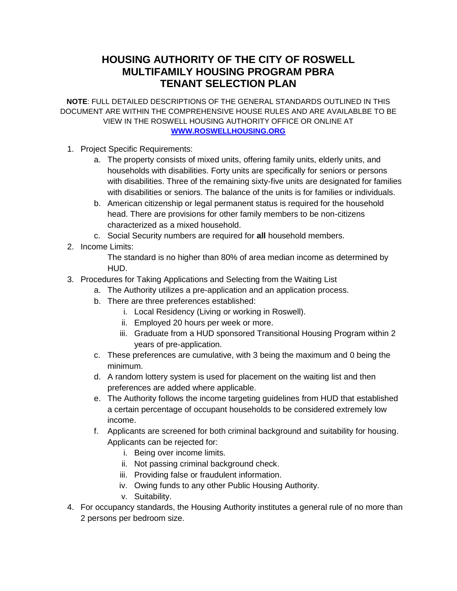## **HOUSING AUTHORITY OF THE CITY OF ROSWELL MULTIFAMILY HOUSING PROGRAM PBRA TENANT SELECTION PLAN**

**NOTE**: FULL DETAILED DESCRIPTIONS OF THE GENERAL STANDARDS OUTLINED IN THIS DOCUMENT ARE WITHIN THE COMPREHENSIVE HOUSE RULES AND ARE AVAILABLBE TO BE VIEW IN THE ROSWELL HOUSING AUTHORITY OFFICE OR ONLINE AT **[WWW.ROSWELLHOUSING.ORG](http://www.roswellhousing.org/)**

- 1. Project Specific Requirements:
	- a. The property consists of mixed units, offering family units, elderly units, and households with disabilities. Forty units are specifically for seniors or persons with disabilities. Three of the remaining sixty-five units are designated for families with disabilities or seniors. The balance of the units is for families or individuals.
	- b. American citizenship or legal permanent status is required for the household head. There are provisions for other family members to be non-citizens characterized as a mixed household.
	- c. Social Security numbers are required for **all** household members.
- 2. Income Limits:

The standard is no higher than 80% of area median income as determined by HUD.

- 3. Procedures for Taking Applications and Selecting from the Waiting List
	- a. The Authority utilizes a pre-application and an application process.
	- b. There are three preferences established:
		- i. Local Residency (Living or working in Roswell).
		- ii. Employed 20 hours per week or more.
		- iii. Graduate from a HUD sponsored Transitional Housing Program within 2 years of pre-application.
	- c. These preferences are cumulative, with 3 being the maximum and 0 being the minimum.
	- d. A random lottery system is used for placement on the waiting list and then preferences are added where applicable.
	- e. The Authority follows the income targeting guidelines from HUD that established a certain percentage of occupant households to be considered extremely low income.
	- f. Applicants are screened for both criminal background and suitability for housing. Applicants can be rejected for:
		- i. Being over income limits.
		- ii. Not passing criminal background check.
		- iii. Providing false or fraudulent information.
		- iv. Owing funds to any other Public Housing Authority.
		- v. Suitability.
- 4. For occupancy standards, the Housing Authority institutes a general rule of no more than 2 persons per bedroom size.